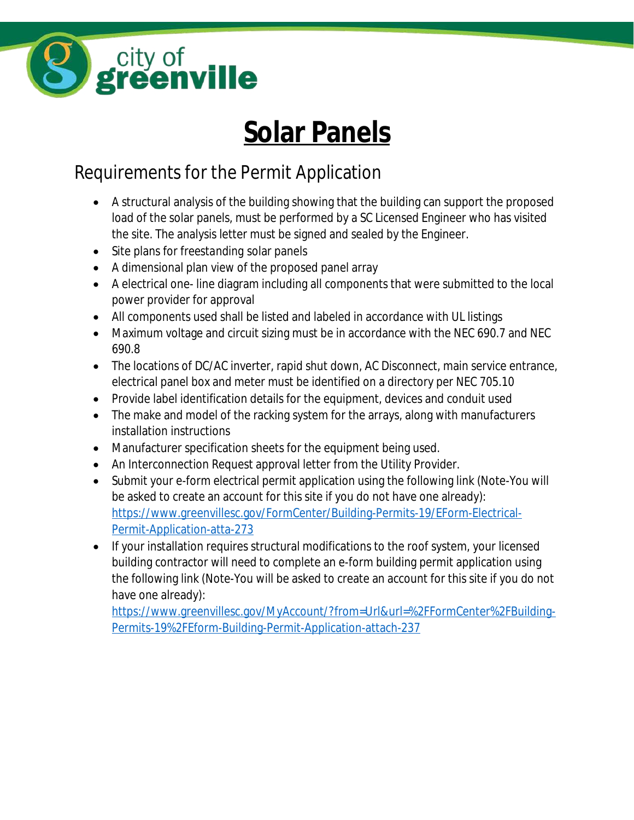

## **Solar Panels**

## Requirements for the Permit Application

- A structural analysis of the building showing that the building can support the proposed load of the solar panels, must be performed by a SC Licensed Engineer who has visited the site. The analysis letter must be signed and sealed by the Engineer.
- Site plans for *freestanding* solar panels
- A dimensional plan view of the proposed panel array
- A electrical one- line diagram including all components that were submitted to the local power provider for approval
- All components used shall be listed and labeled in accordance with UL listings
- Maximum voltage and circuit sizing must be in accordance with the NEC 690.7 and NEC 690.8
- The locations of DC/AC inverter, rapid shut down, AC Disconnect, main service entrance, electrical panel box and meter must be identified on a directory per NEC 705.10
- Provide label identification details for the equipment, devices and conduit used
- The make and model of the racking system for the arrays, along with manufacturers installation instructions
- Manufacturer specification sheets for the equipment being used.
- An Interconnection Request approval letter from the Utility Provider.
- Submit your e-form electrical permit application using the following link (Note-You will be asked to create an account for this site if you do not have one already): [https://www.greenvillesc.gov/FormCenter/Building-Permits-19/EForm-Electrical-](https://www.greenvillesc.gov/FormCenter/Building-Permits-19/EForm-Electrical-Permit-Application-atta-273)Permit-Application-atta-273
- If your installation requires structural modifications to the roof system, your licensed building contractor will need to complete an e-form building permit application using the following link (Note-You will be asked to create an account for this site if you do not have one already):

[https://www.greenvillesc.gov/MyAccount/?from=Url&url=%2FFormCenter%2FBuilding-](https://www.greenvillesc.gov/MyAccount/?from=Url&url=%2FFormCenter%2FBuilding-Permits-19%2FEform-Building-Permit-Application-attach-237)Permits-19%2FEform-Building-Permit-Application-attach-237